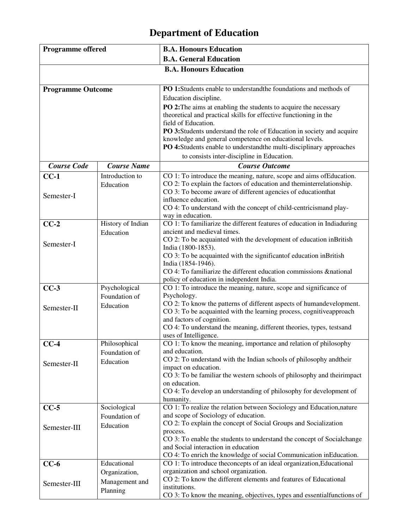## **Department of Education**

| <b>Programme offered</b> |                    | <b>B.A. Honours Education</b>                                                                                                         |
|--------------------------|--------------------|---------------------------------------------------------------------------------------------------------------------------------------|
|                          |                    | <b>B.A. General Education</b>                                                                                                         |
|                          |                    | <b>B.A. Honours Education</b>                                                                                                         |
|                          |                    |                                                                                                                                       |
| <b>Programme Outcome</b> |                    | PO 1:Students enable to understand the foundations and methods of                                                                     |
|                          |                    | Education discipline.                                                                                                                 |
|                          |                    | PO 2: The aims at enabling the students to acquire the necessary                                                                      |
|                          |                    | theoretical and practical skills for effective functioning in the                                                                     |
|                          |                    | field of Education.                                                                                                                   |
|                          |                    | PO 3:Students understand the role of Education in society and acquire                                                                 |
|                          |                    | knowledge and general competence on educational levels.                                                                               |
|                          |                    | PO 4:Students enable to understandthe multi-disciplinary approaches                                                                   |
|                          |                    | to consists inter-discipline in Education.                                                                                            |
| <b>Course Code</b>       | <b>Course Name</b> | <b>Course Outcome</b>                                                                                                                 |
| $CC-1$                   | Introduction to    | CO 1: To introduce the meaning, nature, scope and aims of Education.                                                                  |
|                          | Education          | CO 2: To explain the factors of education and theminterrelationship.<br>CO 3: To become aware of different agencies of education that |
| Semester-I               |                    | influence education.                                                                                                                  |
|                          |                    | CO 4: To understand with the concept of child-centricismand play-                                                                     |
|                          |                    | way in education.                                                                                                                     |
| $CC-2$                   | History of Indian  | CO 1: To familiarize the different features of education in Indiaduring                                                               |
|                          | Education          | ancient and medieval times.                                                                                                           |
| Semester-I               |                    | CO 2: To be acquainted with the development of education inBritish                                                                    |
|                          |                    | India (1800-1853).                                                                                                                    |
|                          |                    | CO 3: To be acquainted with the significant of education in British                                                                   |
|                          |                    | India (1854-1946).                                                                                                                    |
|                          |                    | CO 4: To familiarize the different education commissions &national<br>policy of education in independent India.                       |
| $CC-3$                   | Psychological      | CO 1: To introduce the meaning, nature, scope and significance of                                                                     |
|                          | Foundation of      | Psychology.                                                                                                                           |
|                          | Education          | CO 2: To know the patterns of different aspects of humandevelopment.                                                                  |
| Semester-II              |                    | CO 3: To be acquainted with the learning process, cognitive approach                                                                  |
|                          |                    | and factors of cognition.                                                                                                             |
|                          |                    | CO 4: To understand the meaning, different theories, types, testsand                                                                  |
|                          |                    | uses of Intelligence.                                                                                                                 |
| $CC-4$                   | Philosophical      | CO 1: To know the meaning, importance and relation of philosophy<br>and education.                                                    |
|                          | Foundation of      | CO 2: To understand with the Indian schools of philosophy and their                                                                   |
| Semester-II              | Education          | impact on education.                                                                                                                  |
|                          |                    | CO 3: To be familiar the western schools of philosophy and theirimpact                                                                |
|                          |                    | on education.                                                                                                                         |
|                          |                    | CO 4: To develop an understanding of philosophy for development of                                                                    |
|                          |                    | humanity.                                                                                                                             |
| $CC-5$                   | Sociological       | CO 1: To realize the relation between Sociology and Education, nature                                                                 |
|                          | Foundation of      | and scope of Sociology of education.                                                                                                  |
| Semester-III             | Education          | CO 2: To explain the concept of Social Groups and Socialization<br>process.                                                           |
|                          |                    | CO 3: To enable the students to understand the concept of Socialchange                                                                |
|                          |                    | and Social interaction in education                                                                                                   |
|                          |                    | CO 4: To enrich the knowledge of social Communication inEducation.                                                                    |
| $CC-6$                   | Educational        | CO 1: To introduce the concepts of an ideal organization, Educational                                                                 |
|                          | Organization,      | organization and school organization.                                                                                                 |
| Semester-III             | Management and     | CO 2: To know the different elements and features of Educational                                                                      |
|                          | Planning           | institutions.                                                                                                                         |
|                          |                    | CO 3: To know the meaning, objectives, types and essential functions of                                                               |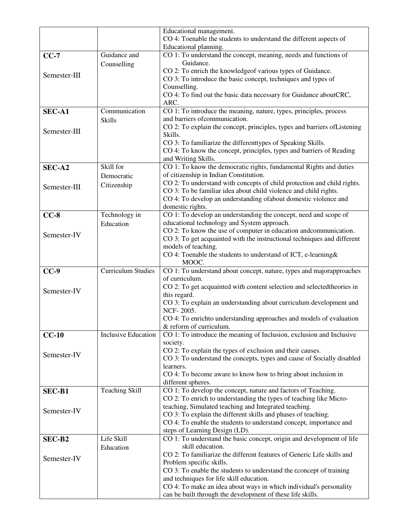|               |                             | Educational management.<br>CO 4: Toenable the students to understand the different aspects of<br>Educational planning.                                                                                           |
|---------------|-----------------------------|------------------------------------------------------------------------------------------------------------------------------------------------------------------------------------------------------------------|
| $CC-7$        | Guidance and<br>Counselling | CO 1: To understand the concept, meaning, needs and functions of<br>Guidance.                                                                                                                                    |
| Semester-III  |                             | CO 2: To enrich the knowledgeof various types of Guidance.<br>CO 3: To introduce the basic concept, techniques and types of<br>Counselling.<br>CO 4: To find out the basic data necessary for Guidance aboutCRC, |
| <b>SEC-A1</b> | Communication               | ARC.<br>CO 1: To introduce the meaning, nature, types, principles, process                                                                                                                                       |
|               | <b>Skills</b>               | and barriers of communication.                                                                                                                                                                                   |
| Semester-III  |                             | CO 2: To explain the concept, principles, types and barriers of Listening<br>Skills.                                                                                                                             |
|               |                             | CO 3: To familiarize the differenttypes of Speaking Skills.<br>CO 4: To know the concept, principles, types and barriers of Reading                                                                              |
| SEC-A2        | Skill for                   | and Writing Skills.<br>CO 1: To know the democratic rights, fundamental Rights and duties                                                                                                                        |
|               | Democratic                  | of citizenship in Indian Constitution.                                                                                                                                                                           |
| Semester-III  | Citizenship                 | CO 2: To understand with concepts of child protection and child rights.                                                                                                                                          |
|               |                             | CO 3: To be familiar idea about child violence and child rights.                                                                                                                                                 |
|               |                             | CO 4: To develop an understanding of about domestic violence and<br>domestic rights.                                                                                                                             |
| $CC-8$        | Technology in               | CO 1: To develop an understanding the concept, need and scope of                                                                                                                                                 |
|               | Education                   | educational technology and System approach.                                                                                                                                                                      |
| Semester-IV   |                             | CO 2: To know the use of computer in education and communication.                                                                                                                                                |
|               |                             | CO 3: To get acquainted with the instructional techniques and different                                                                                                                                          |
|               |                             | models of teaching.<br>CO 4: Toenable the students to understand of ICT, e-learning&                                                                                                                             |
|               |                             | MOOC.                                                                                                                                                                                                            |
|               |                             |                                                                                                                                                                                                                  |
| $CC-9$        | <b>Curriculum Studies</b>   | CO 1: To understand about concept, nature, types and majorapproaches                                                                                                                                             |
|               |                             | of curriculum.                                                                                                                                                                                                   |
| Semester-IV   |                             | CO 2: To get acquainted with content selection and selected theories in                                                                                                                                          |
|               |                             | this regard.                                                                                                                                                                                                     |
|               |                             | CO 3: To explain an understanding about curriculum development and<br>NCF-2005.                                                                                                                                  |
|               |                             | CO 4: To enrichto understanding approaches and models of evaluation                                                                                                                                              |
|               |                             | & reform of curriculum.                                                                                                                                                                                          |
| $CC-10$       | <b>Inclusive Education</b>  | CO 1: To introduce the meaning of Inclusion, exclusion and Inclusive                                                                                                                                             |
|               |                             | society.                                                                                                                                                                                                         |
| Semester-IV   |                             | CO 2: To explain the types of exclusion and their causes.<br>CO 3: To understand the concepts, types and cause of Socially disabled                                                                              |
|               |                             | learners.                                                                                                                                                                                                        |
|               |                             | CO 4: To become aware to know how to bring about inclusion in                                                                                                                                                    |
|               |                             | different spheres.                                                                                                                                                                                               |
| <b>SEC-B1</b> | <b>Teaching Skill</b>       | CO 1: To develop the concept, nature and factors of Teaching.<br>CO 2: To enrich to understanding the types of teaching like Micro-                                                                              |
|               |                             | teaching, Simulated teaching and Integrated teaching.                                                                                                                                                            |
| Semester-IV   |                             | CO 3: To explain the different skills and phases of teaching.                                                                                                                                                    |
|               |                             | CO 4: To enable the students to understand concept, importance and                                                                                                                                               |
| SEC-B2        | Life Skill                  | steps of Learning Design (LD).<br>CO 1: To understand the basic concept, origin and development of life                                                                                                          |
|               | Education                   | skill education.                                                                                                                                                                                                 |
|               |                             | CO 2: To familiarize the different features of Generic Life skills and                                                                                                                                           |
| Semester-IV   |                             | Problem specific skills.                                                                                                                                                                                         |
|               |                             | CO 3: To enable the students to understand the cconcept of training                                                                                                                                              |
|               |                             | and techniques for life skill education.<br>CO 4: To make an idea about ways in which individual's personality                                                                                                   |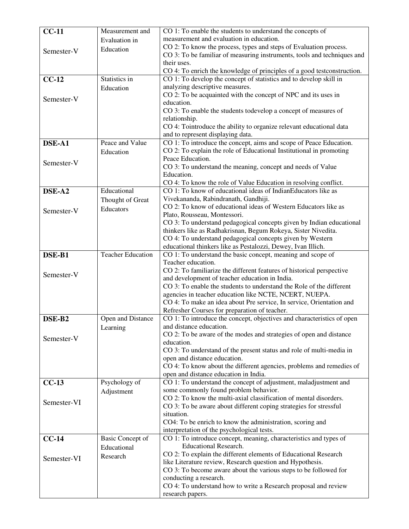| $CC-11$     | Measurement and          | CO 1: To enable the students to understand the concepts of                                                                                   |
|-------------|--------------------------|----------------------------------------------------------------------------------------------------------------------------------------------|
|             | Evaluation in            | measurement and evaluation in education.                                                                                                     |
| Semester-V  | Education                | CO 2: To know the process, types and steps of Evaluation process.<br>CO 3: To be familiar of measuring instruments, tools and techniques and |
|             |                          | their uses.                                                                                                                                  |
|             |                          | CO 4: To enrich the knowledge of principles of a good testconstruction.                                                                      |
| $CC-12$     | Statistics in            | CO 1: To develop the concept of statistics and to develop skill in                                                                           |
|             | Education                | analyzing descriptive measures.                                                                                                              |
| Semester-V  |                          | CO 2: To be acquainted with the concept of NPC and its uses in                                                                               |
|             |                          | education.                                                                                                                                   |
|             |                          | CO 3: To enable the students todevelop a concept of measures of<br>relationship.                                                             |
|             |                          | CO 4: Tointroduce the ability to organize relevant educational data                                                                          |
|             |                          | and to represent displaying data.                                                                                                            |
| DSE-A1      | Peace and Value          | CO 1: To introduce the concept, aims and scope of Peace Education.                                                                           |
|             | Education                | CO 2: To explain the role of Educational Institutional in promoting                                                                          |
| Semester-V  |                          | Peace Education.                                                                                                                             |
|             |                          | CO 3: To understand the meaning, concept and needs of Value<br>Education.                                                                    |
|             |                          | CO 4: To know the role of Value Education in resolving conflict.                                                                             |
| DSE-A2      | Educational              | CO 1: To know of educational ideas of IndianEducators like as                                                                                |
|             | Thought of Great         | Vivekananda, Rabindranath, Gandhiji.                                                                                                         |
| Semester-V  | Educators                | CO 2: To know of educational ideas of Western Educators like as                                                                              |
|             |                          | Plato, Rousseau, Montessori.                                                                                                                 |
|             |                          | CO 3: To understand pedagogical concepts given by Indian educational<br>thinkers like as Radhakrisnan, Begum Rokeya, Sister Nivedita.        |
|             |                          | CO 4: To understand pedagogical concepts given by Western                                                                                    |
|             |                          | educational thinkers like as Pestalozzi, Dewey, Ivan Illich.                                                                                 |
| DSE-B1      | <b>Teacher Education</b> | CO 1: To understand the basic concept, meaning and scope of                                                                                  |
|             |                          | Teacher education.                                                                                                                           |
| Semester-V  |                          | CO 2: To familiarize the different features of historical perspective                                                                        |
|             |                          | and development of teacher education in India.<br>CO 3: To enable the students to understand the Role of the different                       |
|             |                          | agencies in teacher education like NCTE, NCERT, NUEPA.                                                                                       |
|             |                          | CO 4: To make an idea about Pre service, In service, Orientation and                                                                         |
|             |                          | Refresher Courses for preparation of teacher.                                                                                                |
| DSE-B2      | Open and Distance        | CO 1: To introduce the concept, objectives and characteristics of open                                                                       |
|             | Learning                 | and distance education.<br>CO 2: To be aware of the modes and strategies of open and distance                                                |
| Semester-V  |                          | education.                                                                                                                                   |
|             |                          | CO 3: To understand of the present status and role of multi-media in                                                                         |
|             |                          | open and distance education.                                                                                                                 |
|             |                          | CO 4: To know about the different agencies, problems and remedies of                                                                         |
| $CC-13$     | Psychology of            | open and distance education in India.<br>CO 1: To understand the concept of adjustment, maladjustment and                                    |
|             | Adjustment               | some commonly found problem behavior.                                                                                                        |
| Semester-VI |                          | CO 2: To know the multi-axial classification of mental disorders.                                                                            |
|             |                          | CO 3: To be aware about different coping strategies for stressful                                                                            |
|             |                          | situation.                                                                                                                                   |
|             |                          | CO4: To be enrich to know the administration, scoring and<br>interpretation of the psychological tests.                                      |
| $CC-14$     | <b>Basic Concept of</b>  | CO 1: To introduce concept, meaning, characteristics and types of                                                                            |
|             | Educational              | <b>Educational Research.</b>                                                                                                                 |
| Semester-VI | Research                 | CO 2: To explain the different elements of Educational Research                                                                              |
|             |                          | like Literature review, Research question and Hypothesis.                                                                                    |
|             |                          | CO 3: To become aware about the various steps to be followed for<br>conducting a research.                                                   |
|             |                          | CO 4: To understand how to write a Research proposal and review                                                                              |
|             |                          | research papers.                                                                                                                             |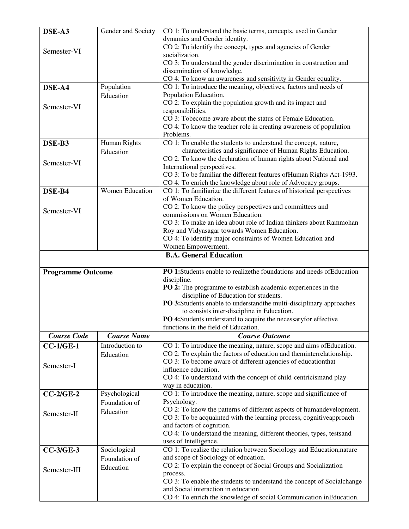| DSE-A3                   | Gender and Society     | CO 1: To understand the basic terms, concepts, used in Gender                                             |
|--------------------------|------------------------|-----------------------------------------------------------------------------------------------------------|
|                          |                        | dynamics and Gender identity.                                                                             |
|                          |                        | CO 2: To identify the concept, types and agencies of Gender                                               |
| Semester-VI              |                        | socialization.                                                                                            |
|                          |                        | CO 3: To understand the gender discrimination in construction and                                         |
|                          |                        | dissemination of knowledge.                                                                               |
|                          |                        | CO 4: To know an awareness and sensitivity in Gender equality.                                            |
| DSE-A4                   | Population             | CO 1: To introduce the meaning, objectives, factors and needs of                                          |
|                          | Education              | Population Education.                                                                                     |
|                          |                        | CO 2: To explain the population growth and its impact and                                                 |
| Semester-VI              |                        | responsibilities.                                                                                         |
|                          |                        | CO 3: Tobecome aware about the status of Female Education.                                                |
|                          |                        | CO 4: To know the teacher role in creating awareness of population                                        |
|                          |                        | Problems.                                                                                                 |
| DSE-B3                   | Human Rights           | CO 1: To enable the students to understand the concept, nature,                                           |
|                          | Education              | characteristics and significance of Human Rights Education.                                               |
|                          |                        | CO 2: To know the declaration of human rights about National and                                          |
| Semester-VI              |                        | International perspectives.                                                                               |
|                          |                        | CO 3: To be familiar the different features of Human Rights Act-1993.                                     |
|                          |                        | CO 4: To enrich the knowledge about role of Advocacy groups.                                              |
| DSE-B4                   | <b>Women Education</b> | CO 1: To familiarize the different features of historical perspectives                                    |
|                          |                        | of Women Education.                                                                                       |
|                          |                        | CO 2: To know the policy perspectives and committees and                                                  |
| Semester-VI              |                        | commissions on Women Education.                                                                           |
|                          |                        | CO 3: To make an idea about role of Indian thinkers about Rammohan                                        |
|                          |                        | Roy and Vidyasagar towards Women Education.                                                               |
|                          |                        | CO 4: To identify major constraints of Women Education and                                                |
|                          |                        | Women Empowerment.                                                                                        |
|                          |                        | <b>B.A. General Education</b>                                                                             |
|                          |                        |                                                                                                           |
|                          |                        |                                                                                                           |
|                          |                        | PO 1:Students enable to realize the foundations and needs of Education                                    |
| <b>Programme Outcome</b> |                        | discipline.                                                                                               |
|                          |                        | PO 2: The programme to establish academic experiences in the                                              |
|                          |                        | discipline of Education for students.                                                                     |
|                          |                        | PO 3:Students enable to understand the multi-disciplinary approaches                                      |
|                          |                        | to consists inter-discipline in Education.                                                                |
|                          |                        | PO 4:Students understand to acquire the necessary for effective                                           |
|                          |                        | functions in the field of Education.                                                                      |
| <b>Course Code</b>       | <b>Course Name</b>     | <b>Course Outcome</b>                                                                                     |
| $CC-1/GE-1$              | Introduction to        | CO 1: To introduce the meaning, nature, scope and aims of Education.                                      |
|                          |                        | CO 2: To explain the factors of education and theminterrelationship.                                      |
|                          | Education              | CO 3: To become aware of different agencies of education that                                             |
| Semester-I               |                        | influence education.                                                                                      |
|                          |                        | CO 4: To understand with the concept of child-centricismand play-                                         |
|                          |                        | way in education.                                                                                         |
| $CC-2/GE-2$              | Psychological          | CO 1: To introduce the meaning, nature, scope and significance of                                         |
|                          | Foundation of          | Psychology.                                                                                               |
|                          |                        | CO 2: To know the patterns of different aspects of humandevelopment.                                      |
| Semester-II              | Education              | CO 3: To be acquainted with the learning process, cognitive approach                                      |
|                          |                        | and factors of cognition.                                                                                 |
|                          |                        | CO 4: To understand the meaning, different theories, types, testsand                                      |
|                          |                        | uses of Intelligence.                                                                                     |
| $CC-3/GE-3$              | Sociological           | CO 1: To realize the relation between Sociology and Education, nature                                     |
|                          | Foundation of          | and scope of Sociology of education.                                                                      |
|                          | Education              | CO 2: To explain the concept of Social Groups and Socialization                                           |
| Semester-III             |                        | process.                                                                                                  |
|                          |                        | CO 3: To enable the students to understand the concept of Socialchange                                    |
|                          |                        | and Social interaction in education<br>CO 4: To enrich the knowledge of social Communication inEducation. |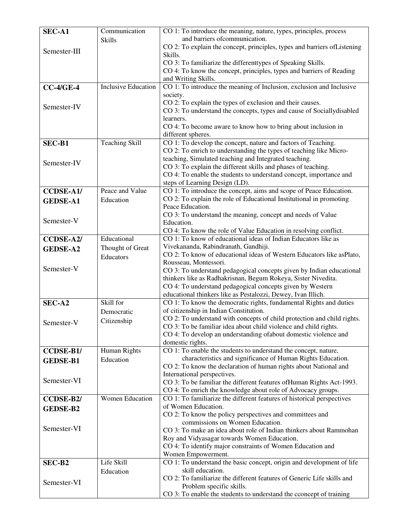| SEC-A1           | Communication              | CO 1: To introduce the meaning, nature, types, principles, process                                                                  |
|------------------|----------------------------|-------------------------------------------------------------------------------------------------------------------------------------|
|                  | <b>Skills</b>              | and barriers of communication.                                                                                                      |
| Semester-III     |                            | CO 2: To explain the concept, principles, types and barriers of Listening                                                           |
|                  |                            | Skills.                                                                                                                             |
|                  |                            | CO 3: To familiarize the differenttypes of Speaking Skills.<br>CO 4: To know the concept, principles, types and barriers of Reading |
|                  |                            | and Writing Skills.                                                                                                                 |
| $CC-4/GE-4$      | <b>Inclusive Education</b> | CO 1: To introduce the meaning of Inclusion, exclusion and Inclusive                                                                |
|                  |                            | society.                                                                                                                            |
| Semester-IV      |                            | CO 2: To explain the types of exclusion and their causes.                                                                           |
|                  |                            | CO 3: To understand the concepts, types and cause of Socially disabled                                                              |
|                  |                            | learners.                                                                                                                           |
|                  |                            | CO 4: To become aware to know how to bring about inclusion in<br>different spheres.                                                 |
| <b>SEC-B1</b>    | <b>Teaching Skill</b>      | CO 1: To develop the concept, nature and factors of Teaching.                                                                       |
|                  |                            | CO 2: To enrich to understanding the types of teaching like Micro-                                                                  |
|                  |                            | teaching, Simulated teaching and Integrated teaching.                                                                               |
| Semester-IV      |                            | CO 3: To explain the different skills and phases of teaching.                                                                       |
|                  |                            | CO 4: To enable the students to understand concept, importance and                                                                  |
|                  |                            | steps of Learning Design (LD).                                                                                                      |
| <b>CCDSE-A1/</b> | Peace and Value            | CO 1: To introduce the concept, aims and scope of Peace Education.                                                                  |
| <b>GEDSE-A1</b>  | Education                  | CO 2: To explain the role of Educational Institutional in promoting<br>Peace Education.                                             |
|                  |                            | CO 3: To understand the meaning, concept and needs of Value                                                                         |
| Semester-V       |                            | Education.                                                                                                                          |
|                  |                            | CO 4: To know the role of Value Education in resolving conflict.                                                                    |
| <b>CCDSE-A2/</b> | Educational                | CO 1: To know of educational ideas of Indian Educators like as                                                                      |
| <b>GEDSE-A2</b>  | Thought of Great           | Vivekananda, Rabindranath, Gandhiji.                                                                                                |
|                  | Educators                  | CO 2: To know of educational ideas of Western Educators like asPlato,                                                               |
| Semester-V       |                            | Rousseau, Montessori.                                                                                                               |
|                  |                            | CO 3: To understand pedagogical concepts given by Indian educational                                                                |
|                  |                            | thinkers like as Radhakrisnan, Begum Rokeya, Sister Nivedita.<br>CO 4: To understand pedagogical concepts given by Western          |
|                  |                            | educational thinkers like as Pestalozzi, Dewey, Ivan Illich.                                                                        |
| SEC-A2           | Skill for                  | CO 1: To know the democratic rights, fundamental Rights and duties                                                                  |
|                  | Democratic                 | of citizenship in Indian Constitution.                                                                                              |
| Semester-V       | Citizenship                | CO 2: To understand with concepts of child protection and child rights.                                                             |
|                  |                            | CO 3: To be familiar idea about child violence and child rights.                                                                    |
|                  |                            | CO 4: To develop an understanding of about domestic violence and                                                                    |
|                  |                            | domestic rights.<br>CO 1: To enable the students to understand the concept, nature,                                                 |
| <b>CCDSE-B1/</b> | Human Rights<br>Education  | characteristics and significance of Human Rights Education.                                                                         |
| <b>GEDSE-B1</b>  |                            | CO 2: To know the declaration of human rights about National and                                                                    |
|                  |                            | International perspectives.                                                                                                         |
| Semester-VI      |                            | CO 3: To be familiar the different features of Human Rights Act-1993.                                                               |
|                  |                            | CO 4: To enrich the knowledge about role of Advocacy groups.                                                                        |
| CCDSE-B2/        | <b>Women Education</b>     | CO 1: To familiarize the different features of historical perspectives                                                              |
| <b>GEDSE-B2</b>  |                            | of Women Education.                                                                                                                 |
|                  |                            | CO 2: To know the policy perspectives and committees and<br>commissions on Women Education.                                         |
| Semester-VI      |                            | CO 3: To make an idea about role of Indian thinkers about Rammohan                                                                  |
|                  |                            | Roy and Vidyasagar towards Women Education.                                                                                         |
|                  |                            | CO 4: To identify major constraints of Women Education and                                                                          |
|                  |                            | Women Empowerment.                                                                                                                  |
| SEC-B2           | Life Skill                 | CO 1: To understand the basic concept, origin and development of life                                                               |
|                  | Education                  | skill education.                                                                                                                    |
| Semester-VI      |                            | CO 2: To familiarize the different features of Generic Life skills and                                                              |
|                  |                            | Problem specific skills.                                                                                                            |
|                  |                            | CO 3: To enable the students to understand the cconcept of training                                                                 |